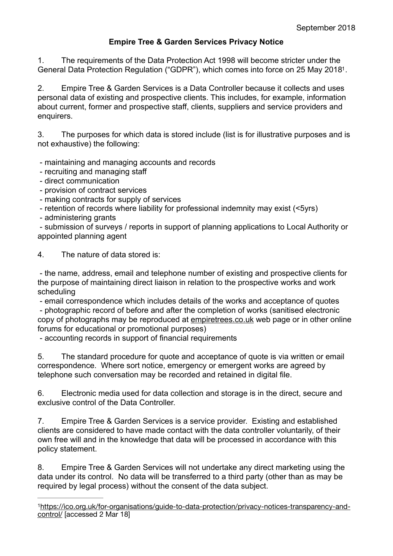## <span id="page-0-1"></span>**Empire Tree & Garden Services Privacy Notice**

1. The requirements of the Data Protection Act 1998 will become stricter under the General Data Protection Regulation ("GDPR"), which comes into force on 25 May 2018<sup>1</sup>[.](#page-0-0)

2. Empire Tree & Garden Services is a Data Controller because it collects and uses personal data of existing and prospective clients. This includes, for example, information about current, former and prospective staff, clients, suppliers and service providers and enquirers.

3. The purposes for which data is stored include (list is for illustrative purposes and is not exhaustive) the following:

- maintaining and managing accounts and records

- recruiting and managing staff
- direct communication
- provision of contract services
- making contracts for supply of services
- retention of records where liability for professional indemnity may exist (<5yrs)
- administering grants

 - submission of surveys / reports in support of planning applications to Local Authority or appointed planning agent

4. The nature of data stored is:

 - the name, address, email and telephone number of existing and prospective clients for the purpose of maintaining direct liaison in relation to the prospective works and work scheduling

 - email correspondence which includes details of the works and acceptance of quotes - photographic record of before and after the completion of works (sanitised electronic copy of photographs may be reproduced at [empiretrees.co.uk](http://empiretrees.co.uk) web page or in other online forums for educational or promotional purposes)

- accounting records in support of financial requirements

5. The standard procedure for quote and acceptance of quote is via written or email correspondence. Where sort notice, emergency or emergent works are agreed by telephone such conversation may be recorded and retained in digital file.

6. Electronic media used for data collection and storage is in the direct, secure and exclusive control of the Data Controller.

7. Empire Tree & Garden Services is a service provider. Existing and established clients are considered to have made contact with the data controller voluntarily, of their own free will and in the knowledge that data will be processed in accordance with this policy statement.

8. Empire Tree & Garden Services will not undertake any direct marketing using the data under its control. No data will be transferred to a third party (other than as may be required by legal process) without the consent of the data subject.

<span id="page-0-0"></span>[https://ico.org.uk/for-organisations/guide-to-data-protection/privacy-notices-transparency-and-](https://ico.org.uk/for-organisations/guide-to-data-protection/privacy-notices-transparency-and-control/) [1](#page-0-1) [control/](https://ico.org.uk/for-organisations/guide-to-data-protection/privacy-notices-transparency-and-control/) [accessed 2 Mar 18]